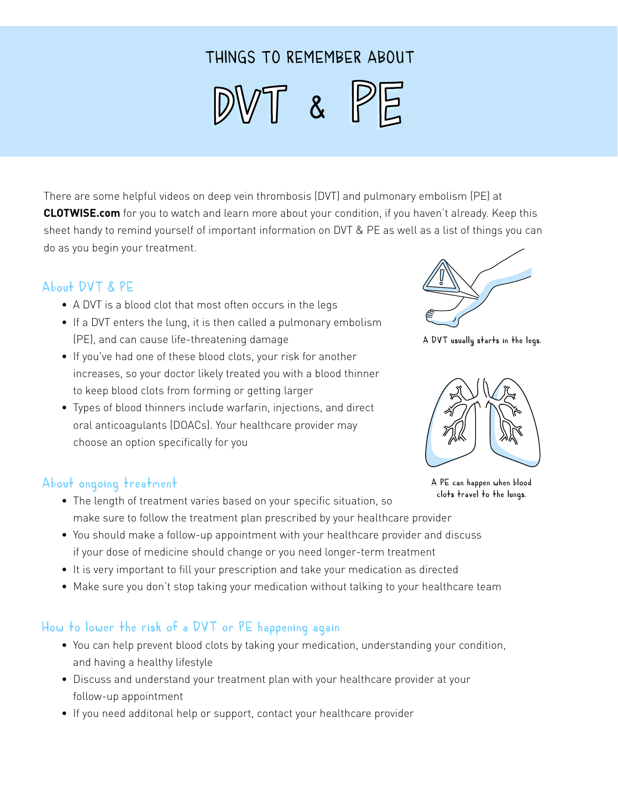### **THINGS TO REMEMBER ABOUT**

**&**

There are some helpful videos on deep vein thrombosis (DVT) and pulmonary embolism (PE) at **[CLOTWISE.com](https://clotwise.com/DVTPE/)** for you to watch and learn more about your condition, if you haven't already. Keep this sheet handy to remind yourself of important information on DVT & PE as well as a list of things you can do as you begin your treatment.

#### **About DVT & PE**

- A DVT is a blood clot that most often occurs in the legs
- If a DVT enters the lung, it is then called a pulmonary embolism (PE), and can cause life-threatening damage
- If you've had one of these blood clots, your risk for another increases, so your doctor likely treated you with a blood thinner to keep blood clots from forming or getting larger
- Types of blood thinners include warfarin, injections, and direct oral anticoagulants (DOACs). Your healthcare provider may choose an option specifically for you

#### **About ongoing treatment**

- The length of treatment varies based on your specific situation, so make sure to follow the treatment plan prescribed by your healthcare provider
- You should make a follow-up appointment with your healthcare provider and discuss if your dose of medicine should change or you need longer-term treatment
- It is very important to fill your prescription and take your medication as directed
- Make sure you don't stop taking your medication without talking to your healthcare team

#### **How to lower the risk of a DVT or PE happening again**

- You can help prevent blood clots by taking your medication, understanding your condition, and having a healthy lifestyle
- Discuss and understand your treatment plan with your healthcare provider at your follow-up appointment
- If you need additonal help or support, contact your healthcare provider



**A DVT usually starts in the legs.**



**A PE can happen when blood clots travel to the lungs.**